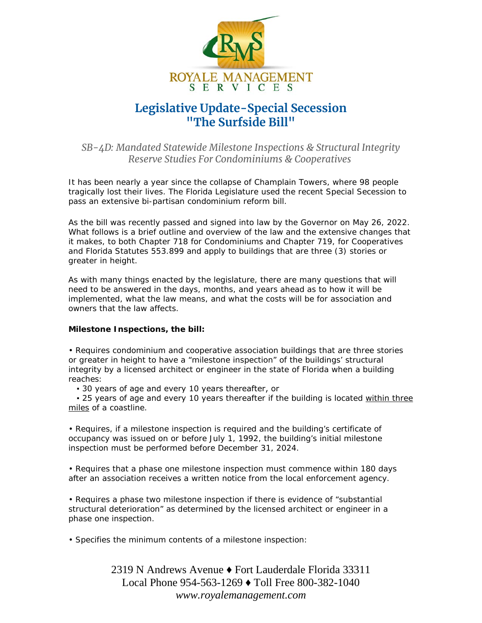

## **Legislative Update-Special Secession "The Surfside Bill"**

## *SB-4D: Mandated Statewide Milestone Inspections & Structural Integrity Reserve Studies For Condominiums & Cooperatives*

It has been nearly a year since the collapse of Champlain Towers, where 98 people tragically lost their lives. The Florida Legislature used the recent Special Secession to pass an extensive bi-partisan condominium reform bill.

As the bill was recently passed and signed into law by the Governor on May 26, 2022. What follows is a brief outline and overview of the law and the extensive changes that it makes, to both Chapter 718 for Condominiums and Chapter 719, for Cooperatives and Florida Statutes 553.899 and apply to buildings that are three (3) stories or greater in height.

As with many things enacted by the legislature, there are many questions that will need to be answered in the days, months, and years ahead as to how it will be implemented, what the law means, and what the costs will be for association and owners that the law affects.

## **Milestone Inspections, the bill:**

• Requires condominium and cooperative association buildings that are three stories or greater in height to have a "milestone inspection" of the buildings' structural integrity by a licensed architect or engineer in the state of Florida when a building reaches:

▪ 30 years of age and every 10 years thereafter, or

 ▪ 25 years of age and every 10 years thereafter if the building is located *within three miles* of a coastline.

• Requires, if a milestone inspection is required and the building's certificate of occupancy was issued on or before July 1, 1992, the building's initial milestone inspection must be performed before December 31, 2024.

• Requires that a phase one milestone inspection must commence within 180 days after an association receives a written notice from the local enforcement agency.

• Requires a phase two milestone inspection if there is evidence of "substantial structural deterioration" as determined by the licensed architect or engineer in a phase one inspection.

• Specifies the minimum contents of a milestone inspection:

2319 N Andrews Avenue ♦ Fort Lauderdale Florida 33311 Local Phone 954-563-1269 ♦ Toll Free 800-382-1040 *www.royalemanagement.com*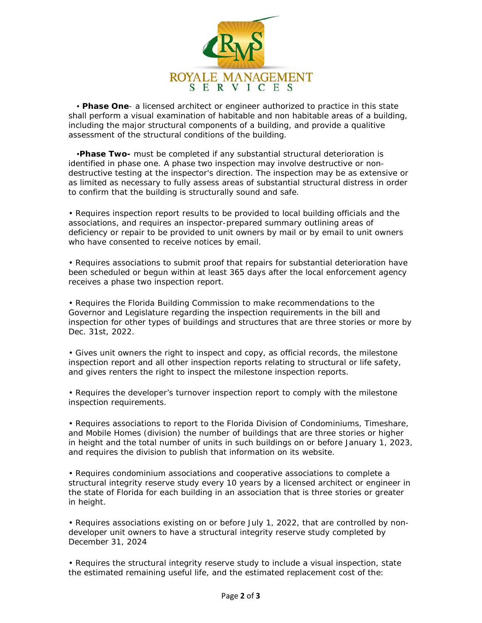

 ▪ **Phase One**- a licensed architect or engineer authorized to practice in this state shall perform a visual examination of habitable and non habitable areas of a building, including the major structural components of a building, and provide a qualitive assessment of the structural conditions of the building.

▪**Phase Two-** must be completed if any substantial structural deterioration is identified in phase one. A phase two inspection may involve destructive or nondestructive testing at the inspector's direction. The inspection may be as extensive or as limited as necessary to fully assess areas of substantial structural distress in order to confirm that the building is structurally sound and safe.

• Requires inspection report results to be provided to local building officials and the associations, and requires an inspector-prepared summary outlining areas of deficiency or repair to be provided to unit owners by mail or by email to unit owners who have consented to receive notices by email.

• Requires associations to submit proof that repairs for substantial deterioration have been scheduled or begun within at least 365 days after the local enforcement agency receives a phase two inspection report.

• Requires the Florida Building Commission to make recommendations to the Governor and Legislature regarding the inspection requirements in the bill and inspection for other types of buildings and structures that are three stories or more by Dec. 31st, 2022.

• Gives unit owners the right to inspect and copy, as official records, the milestone inspection report and all other inspection reports relating to structural or life safety, and gives renters the right to inspect the milestone inspection reports.

• Requires the developer's turnover inspection report to comply with the milestone inspection requirements.

• Requires associations to report to the Florida Division of Condominiums, Timeshare, and Mobile Homes (division) the number of buildings that are three stories or higher in height and the total number of units in such buildings on or before January 1, 2023, and requires the division to publish that information on its website.

• Requires condominium associations and cooperative associations to complete a structural integrity reserve study every 10 years by a licensed architect or engineer in the state of Florida for each building in an association that is three stories or greater in height.

• Requires associations existing on or before July 1, 2022, that are controlled by nondeveloper unit owners to have a structural integrity reserve study completed by December 31, 2024

• Requires the structural integrity reserve study to include a visual inspection, state the estimated remaining useful life, and the estimated replacement cost of the: